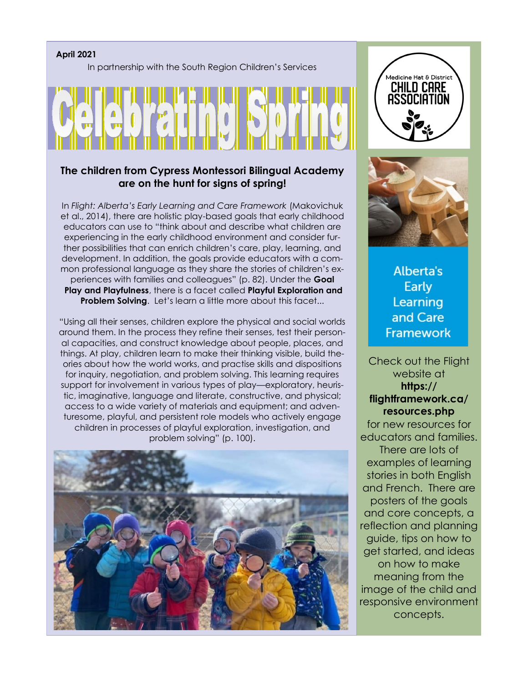#### **April 2021**

In partnership with the South Region Children's Services

### **The children from Cypress Montessori Bilingual Academy are on the hunt for signs of spring!**

In *Flight: Alberta's Early Learning and Care Framework* (Makovichuk et al., 2014), there are holistic play-based goals that early childhood educators can use to "think about and describe what children are experiencing in the early childhood environment and consider further possibilities that can enrich children's care, play, learning, and development. In addition, the goals provide educators with a common professional language as they share the stories of children's experiences with families and colleagues" (p. 82). Under the **Goal Play and Playfulness**, there is a facet called **Playful Exploration and Problem Solving.** Let's learn a little more about this facet...

"Using all their senses, children explore the physical and social worlds around them. In the process they refine their senses, test their personal capacities, and construct knowledge about people, places, and things. At play, children learn to make their thinking visible, build theories about how the world works, and practise skills and dispositions for inquiry, negotiation, and problem solving. This learning requires support for involvement in various types of play—exploratory, heuristic, imaginative, language and literate, constructive, and physical; access to a wide variety of materials and equipment; and adventuresome, playful, and persistent role models who actively engage children in processes of playful exploration, investigation, and problem solving" (p. 100).







**Alberta's Early** Learning and Care **Framework** 

Check out the Flight website at **https:// flightframework.ca/ resources.php** for new resources for educators and families. There are lots of examples of learning

stories in both English and French. There are posters of the goals and core concepts, a reflection and planning guide, tips on how to get started, and ideas on how to make meaning from the image of the child and responsive environment concepts.